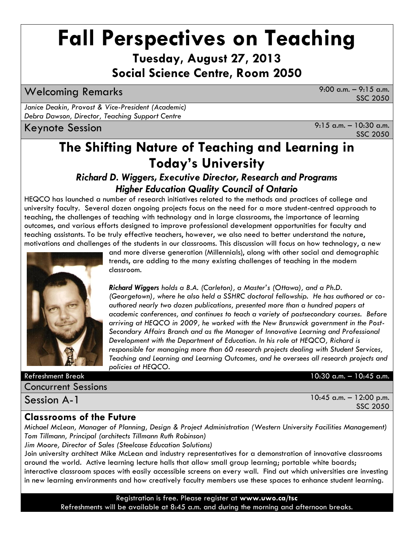# **Fall Perspectives on Teaching**

**Tuesday, August 27, 2013 Social Science Centre, Room 2050**

Welcoming Remarks 9:00 a.m. – 9:15 a.m.

SSC 2050

*Janice Deakin, Provost & Vice-President (Academic) Debra Dawson, Director, Teaching Support Centre*

Keynote Session 9:15 a.m. – 10:30 a.m. SSC 2050

## **The Shifting Nature of Teaching and Learning in Today's University**

*Richard D. Wiggers, Executive Director, Research and Programs Higher Education Quality Council of Ontario*

HEQCO has launched a number of research initiatives related to the methods and practices of college and university faculty. Several dozen ongoing projects focus on the need for a more student-centred approach to teaching, the challenges of teaching with technology and in large classrooms, the importance of learning outcomes, and various efforts designed to improve professional development opportunities for faculty and teaching assistants. To be truly effective teachers, however, we also need to better understand the nature, motivations and challenges of the students in our classrooms. This discussion will focus on how technology, a new



and more diverse generation (Millennials), along with other social and demographic trends, are adding to the many existing challenges of teaching in the modern classroom.

*Richard Wiggers holds a B.A. (Carleton), a Master's (Ottawa), and a Ph.D. (Georgetown), where he also held a SSHRC doctoral fellowship. He has authored or coauthored nearly two dozen publications, presented more than a hundred papers at academic conferences, and continues to teach a variety of postsecondary courses. Before arriving at HEQCO in 2009, he worked with the New Brunswick government in the Post-Secondary Affairs Branch and as the Manager of Innovative Learning and Professional Development with the Department of Education. In his role at HEQCO, Richard is responsible for managing more than 60 research projects dealing with Student Services, Teaching and Learning and Learning Outcomes, and he oversees all research projects and policies at HEQCO.* 

Refreshment Break 10:30 a.m. – 10:45 a.m.

| <b>Concurrent Sessions</b> |  |
|----------------------------|--|
|                            |  |

Session A-1

10:45 a.m. – 12:00 p.m. SSC 2050

#### **Classrooms of the Future**

*Michael McLean, Manager of Planning, Design & Project Administration (Western University Facilities Management) Tom Tillmann, Principal (architects Tillmann Ruth Robinson)*

*Jim Moore, Director of Sales (Steelcase Education Solutions)*

Join university architect Mike McLean and industry representatives for a demonstration of innovative classrooms around the world. Active learning lecture halls that allow small group learning; portable white boards; interactive classroom spaces with easily accessible screens on every wall. Find out which universities are investing in new learning environments and how creatively faculty members use these spaces to enhance student learning.

> Registration is free. Please register at **www.uwo.ca/tsc**  Refreshments will be available at 8:45 a.m. and during the morning and afternoon breaks.